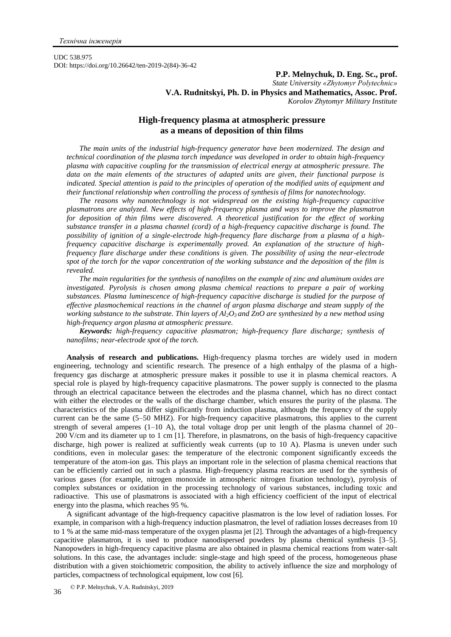UDC 538.975 DOI: https://doi.org/10.26642/ten-2019-2(84)-36-42

# **P.P. Melnychuk, D. Eng. Sc., prof.** *State University «Zhytomyr Polytechnic»* **V.A. Rudnitskyi, Ph. D. in Physics and Mathematics, Assoc. Prof.** *Korolov Zhytomyr Military Institute*

# **High-frequency plasma at atmospheric pressure as a means of deposition of thin films**

*The main units of the industrial high-frequency generator have been modernized. The design and technical coordination of the plasma torch impedance was developed in order to obtain high-frequency plasma with capacitive coupling for the transmission of electrical energy at atmospheric pressure. The data on the main elements of the structures of adapted units are given, their functional purpose is indicated. Special attention is paid to the principles of operation of the modified units of equipment and their functional relationship when controlling the process of synthesis of films for nanotechnology.*

*The reasons why nanotechnology is not widespread on the existing high-frequency capacitive plasmatrons are analyzed. New effects of high-frequency plasma and ways to improve the plasmatron for deposition of thin films were discovered. A theoretical justification for the effect of working substance transfer in a plasma channel (cord) of a high-frequency capacitive discharge is found. The possibility of ignition of a single-electrode high-frequency flare discharge from a plasma of a highfrequency capacitive discharge is experimentally proved. An explanation of the structure of highfrequency flare discharge under these conditions is given. The possibility of using the near-electrode spot of the torch for the vapor concentration of the working substance and the deposition of the film is revealed.* 

*The main regularities for the synthesis of nanofilms on the example of zinc and aluminum oxides are investigated. Pyrolysis is chosen among plasma chemical reactions to prepare a pair of working substances. Plasma luminescence of high-frequency capacitive discharge is studied for the purpose of effective plasmochemical reactions in the channel of argon plasma discharge and steam supply of the working substance to the substrate. Thin layers of Al2O3 and ZnO are synthesized by a new method using high-frequency argon plasma at atmospheric pressure.*

*Keywords: high-frequency capacitive plasmatron; high-frequency flare discharge; synthesis of nanofilms; near-electrode spot of the torch.*

**Analysis of research and publications.** High-frequency plasma torches are widely used in modern engineering, technology and scientific research. The presence of a high enthalpy of the plasma of a highfrequency gas discharge at atmospheric pressure makes it possible to use it in plasma chemical reactors. A special role is played by high-frequency capacitive plasmatrons. The power supply is connected to the plasma through an electrical capacitance between the electrodes and the plasma channel, which has no direct contact with either the electrodes or the walls of the discharge chamber, which ensures the purity of the plasma. The characteristics of the plasma differ significantly from induction plasma, although the frequency of the supply current can be the same (5–50 MHZ). For high-frequency capacitive plasmatrons, this applies to the current strength of several amperes  $(1-10)$  A), the total voltage drop per unit length of the plasma channel of  $20-$ 200 V/cm and its diameter up to 1 cm [1]. Therefore, in plasmatrons, on the basis of high-frequency capacitive discharge, high power is realized at sufficiently weak currents (up to 10 A). Plasma is uneven under such conditions, even in molecular gases: the temperature of the electronic component significantly exceeds the temperature of the atom-ion gas. This plays an important role in the selection of plasma chemical reactions that can be efficiently carried out in such a plasma. High-frequency plasma reactors are used for the synthesis of various gases (for example, nitrogen monoxide in atmospheric nitrogen fixation technology), pyrolysis of complex substances or oxidation in the processing technology of various substances, including toxic and radioactive. This use of plasmatrons is associated with a high efficiency coefficient of the input of electrical energy into the plasma, which reaches 95 %.

A significant advantage of the high-frequency capacitive plasmatron is the low level of radiation losses. For example, in comparison with a high-frequency induction plasmatron, the level of radiation losses decreases from 10 to 1 % at the same mid-mass temperature of the oxygen plasma jet [2]. Through the advantages of a high-frequency capacitive plasmatron, it is used to produce nanodispersed powders by plasma chemical synthesis [3–5]. Nanopowders in high-frequency capacitive plasma are also obtained in plasma chemical reactions from water-salt solutions. In this case, the advantages include: single-stage and high speed of the process, homogeneous phase distribution with a given stoichiometric composition, the ability to actively influence the size and morphology of particles, compactness of technological equipment, low cost [6].

© P.P. Melnychuk, V.A. Rudnitskyi, 2019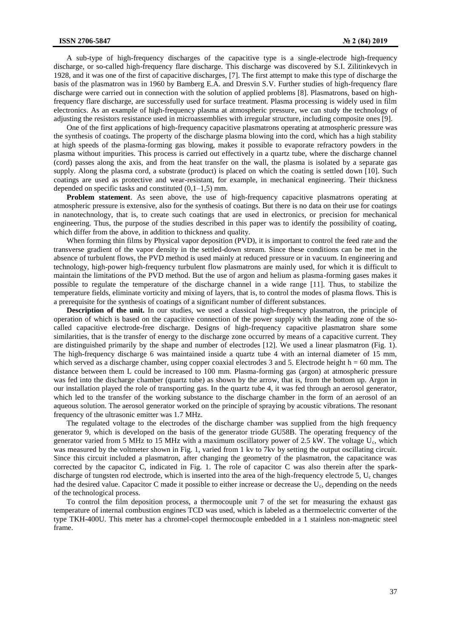A sub-type of high-frequency discharges of the capacitive type is a single-electrode high-frequency discharge, or so-called high-frequency flare discharge. This discharge was discovered by S.I. Zilitinkevych in 1928, and it was one of the first of capacitive discharges, [7]. The first attempt to make this type of discharge the basis of the plasmatron was in 1960 by Bamberg E.A. and Dresvin S.V. Further studies of high-frequency flare discharge were carried out in connection with the solution of applied problems [8]. Plasmatrons, based on highfrequency flare discharge, are successfully used for surface treatment. Plasma processing is widely used in film electronics. As an example of high-frequency plasma at atmospheric pressure, we can study the technology of adjusting the resistors resistance used in microassemblies with irregular structure, including composite ones [9].

One of the first applications of high-frequency capacitive plasmatrons operating at atmospheric pressure was the synthesis of coatings. The property of the discharge plasma blowing into the cord, which has a high stability at high speeds of the plasma-forming gas blowing, makes it possible to evaporate refractory powders in the plasma without impurities. This process is carried out effectively in a quartz tube, where the discharge channel (cord) passes along the axis, and from the heat transfer on the wall, the plasma is isolated by a separate gas supply. Along the plasma cord, a substrate (product) is placed on which the coating is settled down [10]. Such coatings are used as protective and wear-resistant, for example, in mechanical engineering. Their thickness depended on specific tasks and constituted  $(0,1-1,5)$  mm.

**Problem statement**. As seen above, the use of high-frequency capacitive plasmatrons operating at atmospheric pressure is extensive, also for the synthesis of coatings. But there is no data on their use for coatings in nanotechnology, that is, to create such coatings that are used in electronics, or precision for mechanical engineering. Thus, the purpose of the studies described in this paper was to identify the possibility of coating, which differ from the above, in addition to thickness and quality.

When forming thin films by Physical vapor deposition (PVD), it is important to control the feed rate and the transverse gradient of the vapor density in the settled-down stream. Since these conditions can be met in the absence of turbulent flows, the PVD method is used mainly at reduced pressure or in vacuum. In engineering and technology, high-power high-frequency turbulent flow plasmatrons are mainly used, for which it is difficult to maintain the limitations of the PVD method. But the use of argon and helium as plasma-forming gases makes it possible to regulate the temperature of the discharge channel in a wide range [11]. Thus, to stabilize the temperature fields, eliminate vorticity and mixing of layers, that is, to control the modes of plasma flows. This is a prerequisite for the synthesis of coatings of a significant number of different substances.

**Description of the unit.** In our studies, we used a classical high-frequency plasmatron, the principle of operation of which is based on the capacitive connection of the power supply with the leading zone of the socalled capacitive electrode-free discharge. Designs of high-frequency capacitive plasmatron share some similarities, that is the transfer of energy to the discharge zone occurred by means of a capacitive current. They are distinguished primarily by the shape and number of electrodes [12]. We used a linear plasmatron (Fig. 1). The high-frequency discharge 6 was maintained inside a quartz tube 4 with an internal diameter of 15 mm, which served as a discharge chamber, using copper coaxial electrodes  $3$  and  $5$ . Electrode height h = 60 mm. The distance between them L could be increased to 100 mm. Plasma-forming gas (argon) at atmospheric pressure was fed into the discharge chamber (quartz tube) as shown by the arrow, that is, from the bottom up. Argon in our installation played the role of transporting gas. In the quartz tube 4, it was fed through an aerosol generator, which led to the transfer of the working substance to the discharge chamber in the form of an aerosol of an aqueous solution. The aerosol generator worked on the principle of spraying by acoustic vibrations. The resonant frequency of the ultrasonic emitter was 1.7 MHz.

The regulated voltage to the electrodes of the discharge chamber was supplied from the high frequency generator 9, which is developed on the basis of the generator triode GU58B. The operating frequency of the generator varied from 5 MHz to 15 MHz with a maximum oscillatory power of 2.5 kW. The voltage Uc, which was measured by the voltmeter shown in Fig. 1, varied from 1 kv to 7kv by setting the output oscillating circuit. Since this circuit included a plasmatron, after changing the geometry of the plasmatron, the capacitance was corrected by the capacitor C, indicated in Fig. 1. The role of capacitor C was also therein after the sparkdischarge of tungsten rod electrode, which is inserted into the area of the high-frequency electrode 5, U<sub>c</sub> changes had the desired value. Capacitor C made it possible to either increase or decrease the U<sub>c</sub>, depending on the needs of the technological process.

To control the film deposition process, a thermocouple unit 7 of the set for measuring the exhaust gas temperature of internal combustion engines TCD was used, which is labeled as a thermoelectric converter of the type TKH-400U. This meter has a chromel-copel thermocouple embedded in a 1 stainless non-magnetic steel frame.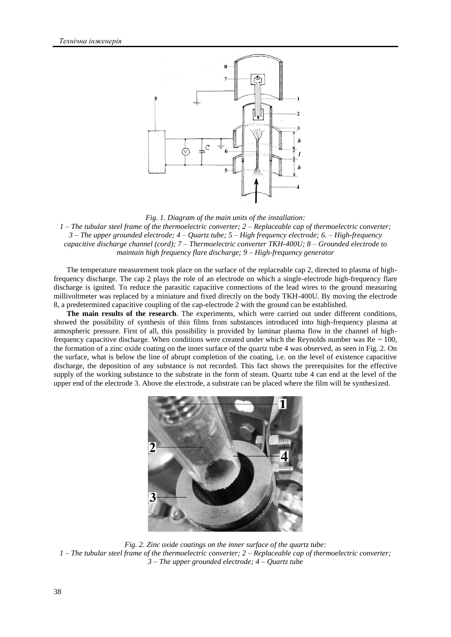

### *Fig. 1. Diagram of the main units of the installation:*

*1 – The tubular steel frame of the thermoelectric converter; 2 – Replaceable cap of thermoelectric converter; 3 – The upper grounded electrode; 4 – Quartz tube; 5 – High frequency electrode; 6. – High-frequency capacitive discharge channel (cord); 7 – Thermoelectric converter TKH-400U; 8 – Grounded electrode to maintain high frequency flare discharge; 9 – High-frequency generator*

The temperature measurement took place on the surface of the replaceable cap 2, directed to plasma of highfrequency discharge. The cap 2 plays the role of an electrode on which a single-electrode high-frequency flare discharge is ignited. To reduce the parasitic capacitive connections of the lead wires to the ground measuring millivoltmeter was replaced by a miniature and fixed directly on the body TKH-400U. By moving the electrode 8, a predetermined capacitive coupling of the cap-electrode 2 with the ground can be established.

**The main results of the research**. The experiments, which were carried out under different conditions, showed the possibility of synthesis of thin films from substances introduced into high-frequency plasma at atmospheric pressure. First of all, this possibility is provided by laminar plasma flow in the channel of highfrequency capacitive discharge. When conditions were created under which the Reynolds number was  $\text{Re} \sim 100$ , the formation of a zinc oxide coating on the inner surface of the quartz tube 4 was observed, as seen in Fig. 2. On the surface, what is below the line of abrupt completion of the coating, i.e. on the level of existence capacitive discharge, the deposition of any substance is not recorded. This fact shows the prerequisites for the effective supply of the working substance to the substrate in the form of steam. Quartz tube 4 can end at the level of the upper end of the electrode 3. Above the electrode, a substrate can be placed where the film will be synthesized.



*Fig. 2. Zinc oxide coatings on the inner surface of the quartz tube: 1 – The tubular steel frame of the thermoelectric converter; 2 – Replaceable cap of thermoelectric converter; 3 – The upper grounded electrode; 4 – Quartz tube*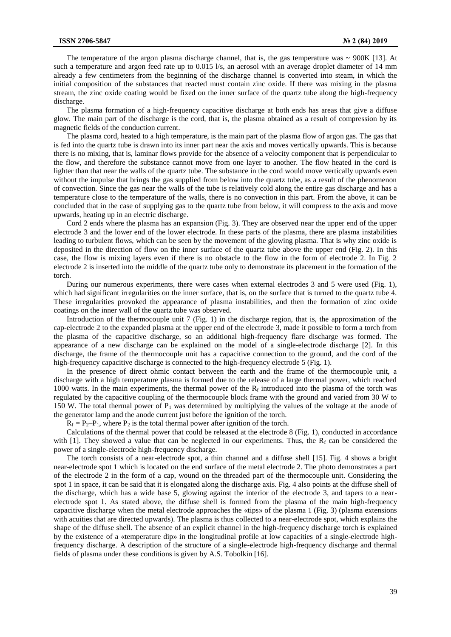The temperature of the argon plasma discharge channel, that is, the gas temperature was  $\sim$  900K [13]. At such a temperature and argon feed rate up to 0.015 l/s, an aerosol with an average droplet diameter of 14 mm already a few centimeters from the beginning of the discharge channel is converted into steam, in which the initial composition of the substances that reacted must contain zinc oxide. If there was mixing in the plasma stream, the zinc oxide coating would be fixed on the inner surface of the quartz tube along the high-frequency discharge.

The plasma formation of a high-frequency capacitive discharge at both ends has areas that give a diffuse glow. The main part of the discharge is the cord, that is, the plasma obtained as a result of compression by its magnetic fields of the conduction current.

The plasma cord, heated to a high temperature, is the main part of the plasma flow of argon gas. The gas that is fed into the quartz tube is drawn into its inner part near the axis and moves vertically upwards. This is because there is no mixing, that is, laminar flows provide for the absence of a velocity component that is perpendicular to the flow, and therefore the substance cannot move from one layer to another. The flow heated in the cord is lighter than that near the walls of the quartz tube. The substance in the cord would move vertically upwards even without the impulse that brings the gas supplied from below into the quartz tube, as a result of the phenomenon of convection. Since the gas near the walls of the tube is relatively cold along the entire gas discharge and has a temperature close to the temperature of the walls, there is no convection in this part. From the above, it can be concluded that in the case of supplying gas to the quartz tube from below, it will compress to the axis and move upwards, heating up in an electric discharge.

Cord 2 ends where the plasma has an expansion (Fig. 3). They are observed near the upper end of the upper electrode 3 and the lower end of the lower electrode. In these parts of the plasma, there are plasma instabilities leading to turbulent flows, which can be seen by the movement of the glowing plasma. That is why zinc oxide is deposited in the direction of flow on the inner surface of the quartz tube above the upper end (Fig. 2). In this case, the flow is mixing layers even if there is no obstacle to the flow in the form of electrode 2. In Fig. 2 electrode 2 is inserted into the middle of the quartz tube only to demonstrate its placement in the formation of the torch.

During our numerous experiments, there were cases when external electrodes 3 and 5 were used (Fig. 1), which had significant irregularities on the inner surface, that is, on the surface that is turned to the quartz tube 4. These irregularities provoked the appearance of plasma instabilities, and then the formation of zinc oxide coatings on the inner wall of the quartz tube was observed.

Introduction of the thermocouple unit 7 (Fig. 1) in the discharge region, that is, the approximation of the cap-electrode 2 to the expanded plasma at the upper end of the electrode 3, made it possible to form a torch from the plasma of the capacitive discharge, so an additional high-frequency flare discharge was formed. The appearance of a new discharge can be explained on the model of a single-electrode discharge [2]. In this discharge, the frame of the thermocouple unit has a capacitive connection to the ground, and the cord of the high-frequency capacitive discharge is connected to the high-frequency electrode 5 (Fig. 1).

In the presence of direct ohmic contact between the earth and the frame of the thermocouple unit, a discharge with a high temperature plasma is formed due to the release of a large thermal power, which reached 1000 watts. In the main experiments, the thermal power of the  $R_f$  introduced into the plasma of the torch was regulated by the capacitive coupling of the thermocouple block frame with the ground and varied from 30 W to 150 W. The total thermal power of  $P_1$  was determined by multiplying the values of the voltage at the anode of the generator lamp and the anode current just before the ignition of the torch.

 $R_f = P_2-P_1$ , where  $P_2$  is the total thermal power after ignition of the torch.

Calculations of the thermal power that could be released at the electrode 8 (Fig. 1), conducted in accordance with [1]. They showed a value that can be neglected in our experiments. Thus, the  $R_f$  can be considered the power of a single-electrode high-frequency discharge.

The torch consists of a near-electrode spot, a thin channel and a diffuse shell [15]. Fig. 4 shows a bright near-electrode spot 1 which is located on the end surface of the metal electrode 2. The photo demonstrates a part of the electrode 2 in the form of a cap, wound on the threaded part of the thermocouple unit. Considering the spot 1 in space, it can be said that it is elongated along the discharge axis. Fig. 4 also points at the diffuse shell of the discharge, which has a wide base 5, glowing against the interior of the electrode 3, and tapers to a nearelectrode spot 1. As stated above, the diffuse shell is formed from the plasma of the main high-frequency capacitive discharge when the metal electrode approaches the «tips» of the plasma 1 (Fig. 3) (plasma extensions with acuities that are directed upwards). The plasma is thus collected to a near-electrode spot, which explains the shape of the diffuse shell. The absence of an explicit channel in the high-frequency discharge torch is explained by the existence of a «temperature dip» in the longitudinal profile at low capacities of a single-electrode highfrequency discharge. A description of the structure of a single-electrode high-frequency discharge and thermal fields of plasma under these conditions is given by A.S. Tobolkin [16].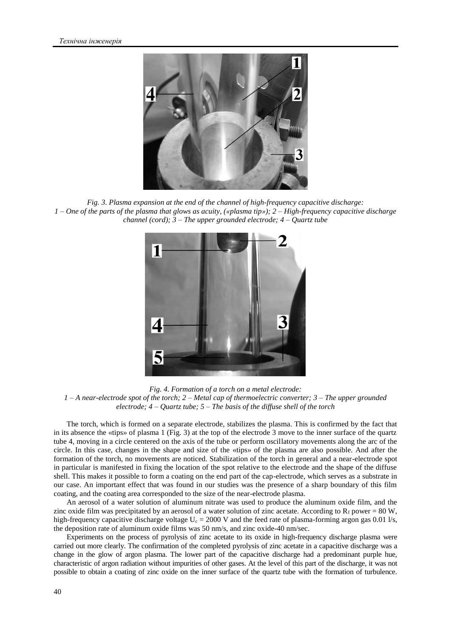

*Fig. 3. Plasma expansion at the end of the channel of high-frequency capacitive discharge: 1 – One of the parts of the plasma that glows as acuity, («plasma tip»); 2 – High-frequency capacitive discharge channel (cord); 3 – The upper grounded electrode; 4 – Quartz tube*



*Fig. 4. Formation of a torch on a metal electrode: 1 – A near-electrode spot of the torch; 2 – Metal cap of thermoelectric converter; 3 – The upper grounded electrode; 4 – Quartz tube; 5 – The basis of the diffuse shell of the torch*

The torch, which is formed on a separate electrode, stabilizes the plasma. This is confirmed by the fact that in its absence the «tips» of plasma 1 (Fig. 3) at the top of the electrode 3 move to the inner surface of the quartz tube 4, moving in a circle centered on the axis of the tube or perform oscillatory movements along the arc of the circle. In this case, changes in the shape and size of the «tips» of the plasma are also possible. And after the formation of the torch, no movements are noticed. Stabilization of the torch in general and a near-electrode spot in particular is manifested in fixing the location of the spot relative to the electrode and the shape of the diffuse shell. This makes it possible to form a coating on the end part of the cap-electrode, which serves as a substrate in our case. An important effect that was found in our studies was the presence of a sharp boundary of this film coating, and the coating area corresponded to the size of the near-electrode plasma.

An aerosol of a water solution of aluminum nitrate was used to produce the aluminum oxide film, and the zinc oxide film was precipitated by an aerosol of a water solution of zinc acetate. According to  $R_f$  power = 80 W, high-frequency capacitive discharge voltage  $U_c = 2000$  V and the feed rate of plasma-forming argon gas 0.01 l/s, the deposition rate of aluminum oxide films was 50 nm/s, and zinc oxide-40 nm/sec.

Experiments on the process of pyrolysis of zinc acetate to its oxide in high-frequency discharge plasma were carried out more clearly. The confirmation of the completed pyrolysis of zinc acetate in a capacitive discharge was a change in the glow of argon plasma. The lower part of the capacitive discharge had a predominant purple hue, characteristic of argon radiation without impurities of other gases. At the level of this part of the discharge, it was not possible to obtain a coating of zinc oxide on the inner surface of the quartz tube with the formation of turbulence.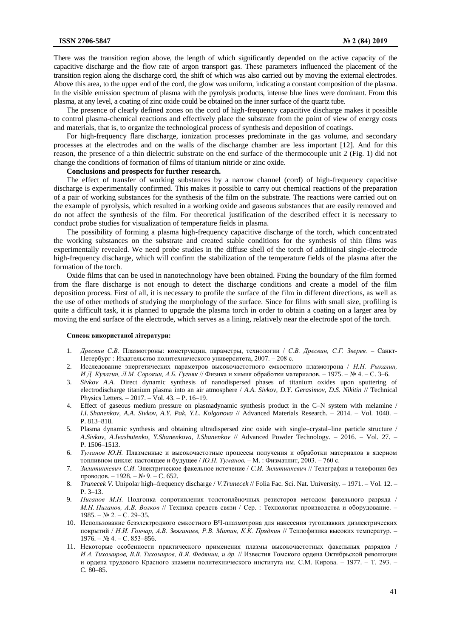There was the transition region above, the length of which significantly depended on the active capacity of the capacitive discharge and the flow rate of argon transport gas. These parameters influenced the placement of the transition region along the discharge cord, the shift of which was also carried out by moving the external electrodes. Above this area, to the upper end of the cord, the glow was uniform, indicating a constant composition of the plasma. In the visible emission spectrum of plasma with the pyrolysis products, intense blue lines were dominant. From this plasma, at any level, a coating of zinc oxide could be obtained on the inner surface of the quartz tube.

The presence of clearly defined zones on the cord of high-frequency capacitive discharge makes it possible to control plasma-chemical reactions and effectively place the substrate from the point of view of energy costs and materials, that is, to organize the technological process of synthesis and deposition of coatings.

For high-frequency flare discharge, ionization processes predominate in the gas volume, and secondary processes at the electrodes and on the walls of the discharge chamber are less important [12]. And for this reason, the presence of a thin dielectric substrate on the end surface of the thermocouple unit 2 (Fig. 1) did not change the conditions of formation of films of titanium nitride or zinc oxide.

### **Conclusions and prospects for further research.**

The effect of transfer of working substances by a narrow channel (cord) of high-frequency capacitive discharge is experimentally confirmed. This makes it possible to carry out chemical reactions of the preparation of a pair of working substances for the synthesis of the film on the substrate. The reactions were carried out on the example of pyrolysis, which resulted in a working oxide and gaseous substances that are easily removed and do not affect the synthesis of the film. For theoretical justification of the described effect it is necessary to conduct probe studies for visualization of temperature fields in plasma.

The possibility of forming a plasma high-frequency capacitive discharge of the torch, which concentrated the working substances on the substrate and created stable conditions for the synthesis of thin films was experimentally revealed. We need probe studies in the diffuse shell of the torch of additional single-electrode high-frequency discharge, which will confirm the stabilization of the temperature fields of the plasma after the formation of the torch.

Oxide films that can be used in nanotechnology have been obtained. Fixing the boundary of the film formed from the flare discharge is not enough to detect the discharge conditions and create a model of the film deposition process. First of all, it is necessary to profile the surface of the film in different directions, as well as the use of other methods of studying the morphology of the surface. Since for films with small size, profiling is quite a difficult task, it is planned to upgrade the plasma torch in order to obtain a coating on a larger area by moving the end surface of the electrode, which serves as a lining, relatively near the electrode spot of the torch.

#### **Список використаної літератури:**

- 1. *Дресвин С.В.* Плазмотроны: конструкции, параметры, технологии / *С.В. Дресвин, С.Г. Зверев.* Санкт-Петербург : Издательство политехнического университета, 2007. – 208 с.
- 2. Исследование энергетических параметров высокочастотного емкостного плазмотрона / *Н.Н. Рыкалин, И.Д. Кулагин, Л.М. Сорокин, А.Б. Гугняк* // Физика и химия обработки материалов. – 1975. – № 4. – C. 3–6.
- 3. *Sivkov A.A.* Direct dynamic synthesis of nanodispersed phases of titanium oxides upon sputtering of electrodischarge titanium plasma into an air atmosphere / *A.A. Sivkov, D.Y. Gerasimov, D.S. Nikitin* // Technical Physics Letters. – 2017. – Vol. 43. – P. 16–19.
- 4. Effect of gaseous medium pressure on plasmadynamic synthesis product in the C–N system with melamine / *I.I. Shanenkov, A.A. Sivkov, A.Y. Pak, Y.L. Kolganova // Advanced Materials Research. – 2014. – Vol. 1040. –* P. 813–818.
- 5. Plasma dynamic synthesis and obtaining ultradispersed zinc oxide with single–crystal–line particle structure / *A.Sivkov, A.Ivashutenko, Y.Shanenkova, I.Shanenkov* // Advanced Powder Technology. – 2016. – Vol. 27. – P. 1506–1513.
- 6. *Туманов Ю.Н.* Плазменные и высокочастотные процессы получения и обработки материалов в ядерном топливном цикле: настоящее и будущее / *Ю.Н. Туманов.* – М. : Физматлит, 2003. – 760 с.
- 7. *Зилитинкевич С.И.* Электрическое факельное истечение / *С.И. Зилитинкевич* // Телеграфия и телефония без проводов. – 1928. – № 9. – C. 652.
- 8. *Trunecek V.* Unipolar high–frequency discharge / *V.Trunecek* // Folia Fac. Sci. Nat. University. 1971. Vol. 12. P. 3–13.
- 9. *Пиганов М.Н.* Подгонка сопротивления толстоплёночных резисторов методом факельного разряда / *М.Н. Пиганов, А.В. Волков* // Техника средств связи / Сер. : Технология производства и оборудование. –  $1985. - N<sub>2</sub> 2. - C. 29-35.$
- 10. Использование безэлектродного емкостного ВЧ-плазмотрона для нанесения тугоплавких диэлектрических покрытий / *Н.И. Гончар, А.В. Звягинцев, Р.В. Митин, К.К. Прядкин* // Теплофизика высоких температур. –  $1976. - N<sub>2</sub>$  4. – C. 853–856.
- 11. Некоторые особенности практического применения плазмы высокочастотных факельных разрядов / *И.А. Тихомиров, В.В. Тихомиров, В.Я. Федянин, и др.* // Известия Томского ордена Октябрьской революции и ордена трудового Красного знамени политехнического института им. С.М. Кирова. – 1977. – Т. 293. – C. 80–85.